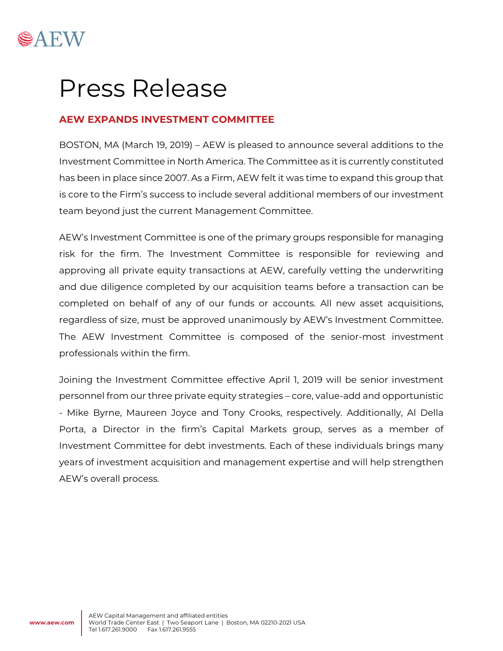

# Press Release

# **AEW EXPANDS INVESTMENT COMMITTEE**

BOSTON, MA (March 19, 2019) – AEW is pleased to announce several additions to the Investment Committee in North America. The Committee as it is currently constituted has been in place since 2007. As a Firm, AEW felt it was time to expand this group that is core to the Firm's success to include several additional members of our investment team beyond just the current Management Committee.

AEW's Investment Committee is one of the primary groups responsible for managing risk for the firm. The Investment Committee is responsible for reviewing and approving all private equity transactions at AEW, carefully vetting the underwriting and due diligence completed by our acquisition teams before a transaction can be completed on behalf of any of our funds or accounts. All new asset acquisitions, regardless of size, must be approved unanimously by AEW's Investment Committee. The AEW Investment Committee is composed of the senior-most investment professionals within the firm.

Joining the Investment Committee effective April 1, 2019 will be senior investment personnel from our three private equity strategies – core, value-add and opportunistic - Mike Byrne, Maureen Joyce and Tony Crooks, respectively. Additionally, Al Della Porta, a Director in the firm's Capital Markets group, serves as a member of Investment Committee for debt investments. Each of these individuals brings many years of investment acquisition and management expertise and will help strengthen AEW's overall process.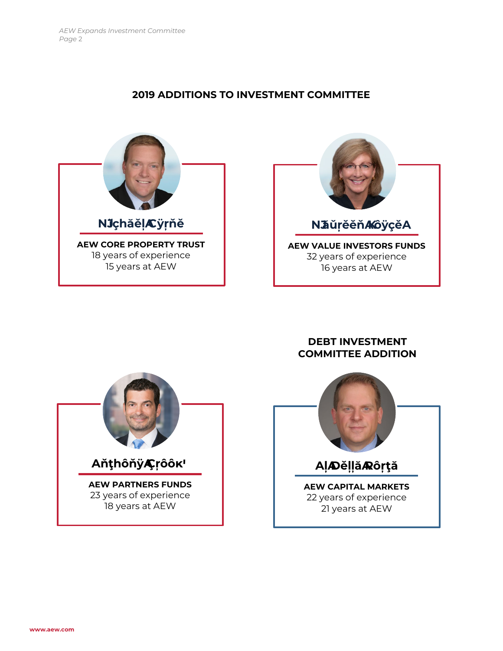### **2019 ADDITIONS TO INVESTMENT COMMITTEE**





## **DEBT INVESTMENT COMMITTEE ADDITION**